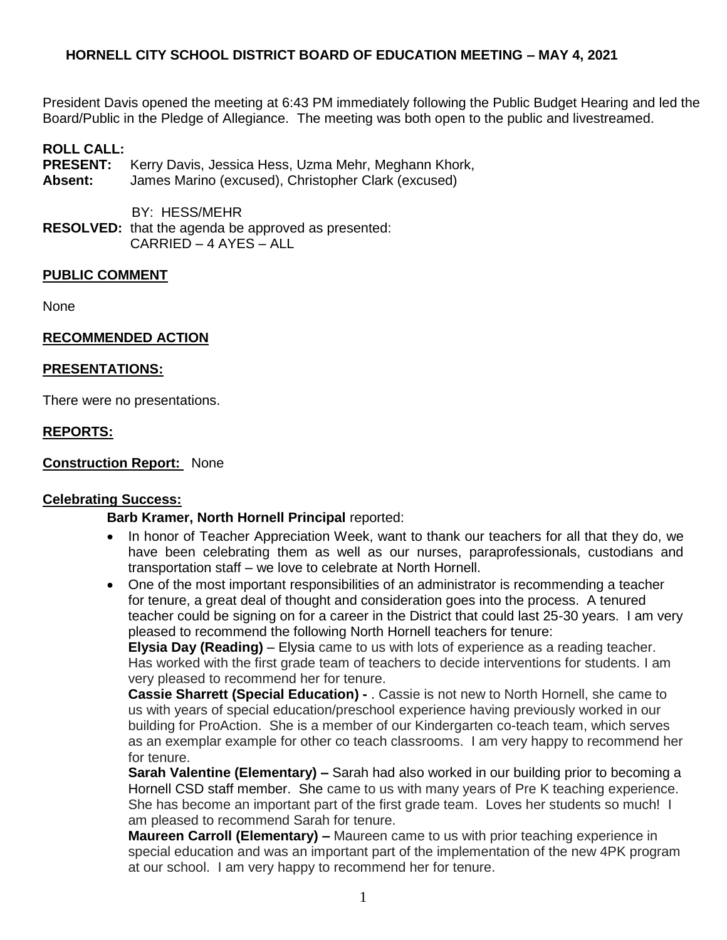President Davis opened the meeting at 6:43 PM immediately following the Public Budget Hearing and led the Board/Public in the Pledge of Allegiance. The meeting was both open to the public and livestreamed.

### **ROLL CALL:**

- **PRESENT:** Kerry Davis, Jessica Hess, Uzma Mehr, Meghann Khork,
- **Absent:** James Marino (excused), Christopher Clark (excused)

 BY: HESS/MEHR **RESOLVED:** that the agenda be approved as presented: CARRIED – 4 AYES – ALL

### **PUBLIC COMMENT**

None

### **RECOMMENDED ACTION**

### **PRESENTATIONS:**

There were no presentations.

### **REPORTS:**

**Construction Report:** None

### **Celebrating Success:**

### **Barb Kramer, North Hornell Principal** reported:

- In honor of Teacher Appreciation Week, want to thank our teachers for all that they do, we have been celebrating them as well as our nurses, paraprofessionals, custodians and transportation staff – we love to celebrate at North Hornell.
- One of the most important responsibilities of an administrator is recommending a teacher for tenure, a great deal of thought and consideration goes into the process. A tenured teacher could be signing on for a career in the District that could last 25-30 years. I am very pleased to recommend the following North Hornell teachers for tenure:

**Elysia Day (Reading)** – Elysia came to us with lots of experience as a reading teacher. Has worked with the first grade team of teachers to decide interventions for students. I am very pleased to recommend her for tenure.

**Cassie Sharrett (Special Education) -** . Cassie is not new to North Hornell, she came to us with years of special education/preschool experience having previously worked in our building for ProAction. She is a member of our Kindergarten co-teach team, which serves as an exemplar example for other co teach classrooms. I am very happy to recommend her for tenure.

**Sarah Valentine (Elementary) –** Sarah had also worked in our building prior to becoming a Hornell CSD staff member. She came to us with many years of Pre K teaching experience. She has become an important part of the first grade team. Loves her students so much! I am pleased to recommend Sarah for tenure.

**Maureen Carroll (Elementary) –** Maureen came to us with prior teaching experience in special education and was an important part of the implementation of the new 4PK program at our school. I am very happy to recommend her for tenure.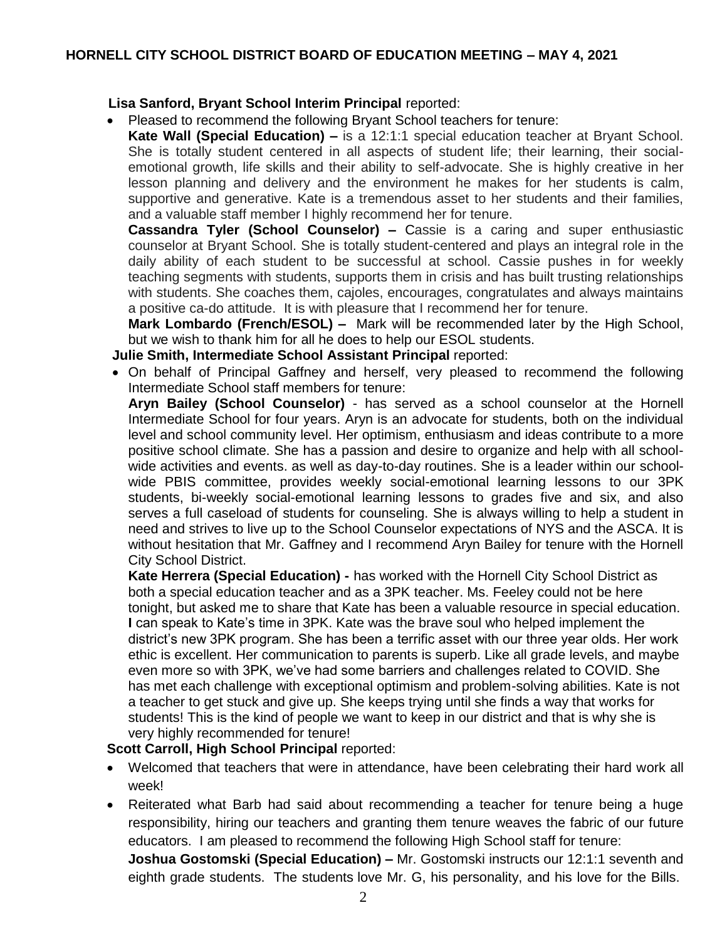# **Lisa Sanford, Bryant School Interim Principal** reported:

Pleased to recommend the following Bryant School teachers for tenure:

**Kate Wall (Special Education) –** is a 12:1:1 special education teacher at Bryant School. She is totally student centered in all aspects of student life; their learning, their socialemotional growth, life skills and their ability to self-advocate. She is highly creative in her lesson planning and delivery and the environment he makes for her students is calm, supportive and generative. Kate is a tremendous asset to her students and their families, and a valuable staff member I highly recommend her for tenure.

**Cassandra Tyler (School Counselor) –** Cassie is a caring and super enthusiastic counselor at Bryant School. She is totally student-centered and plays an integral role in the daily ability of each student to be successful at school. Cassie pushes in for weekly teaching segments with students, supports them in crisis and has built trusting relationships with students. She coaches them, cajoles, encourages, congratulates and always maintains a positive ca-do attitude. It is with pleasure that I recommend her for tenure.

**Mark Lombardo (French/ESOL) –** Mark will be recommended later by the High School, but we wish to thank him for all he does to help our ESOL students.

**Julie Smith, Intermediate School Assistant Principal** reported:

 On behalf of Principal Gaffney and herself, very pleased to recommend the following Intermediate School staff members for tenure:

**Aryn Bailey (School Counselor)** - has served as a school counselor at the Hornell Intermediate School for four years. Aryn is an advocate for students, both on the individual level and school community level. Her optimism, enthusiasm and ideas contribute to a more positive school climate. She has a passion and desire to organize and help with all schoolwide activities and events. as well as day-to-day routines. She is a leader within our schoolwide PBIS committee, provides weekly social-emotional learning lessons to our 3PK students, bi-weekly social-emotional learning lessons to grades five and six, and also serves a full caseload of students for counseling. She is always willing to help a student in need and strives to live up to the School Counselor expectations of NYS and the ASCA. It is without hesitation that Mr. Gaffney and I recommend Aryn Bailey for tenure with the Hornell City School District.

**Kate Herrera (Special Education) -** has worked with the Hornell City School District as both a special education teacher and as a 3PK teacher. Ms. Feeley could not be here tonight, but asked me to share that Kate has been a valuable resource in special education. **I** can speak to Kate's time in 3PK. Kate was the brave soul who helped implement the district's new 3PK program. She has been a terrific asset with our three year olds. Her work ethic is excellent. Her communication to parents is superb. Like all grade levels, and maybe even more so with 3PK, we've had some barriers and challenges related to COVID. She has met each challenge with exceptional optimism and problem-solving abilities. Kate is not a teacher to get stuck and give up. She keeps trying until she finds a way that works for students! This is the kind of people we want to keep in our district and that is why she is very highly recommended for tenure!

**Scott Carroll, High School Principal** reported:

- Welcomed that teachers that were in attendance, have been celebrating their hard work all week!
- Reiterated what Barb had said about recommending a teacher for tenure being a huge responsibility, hiring our teachers and granting them tenure weaves the fabric of our future educators. I am pleased to recommend the following High School staff for tenure: **Joshua Gostomski (Special Education) –** Mr. Gostomski instructs our 12:1:1 seventh and

eighth grade students. The students love Mr. G, his personality, and his love for the Bills.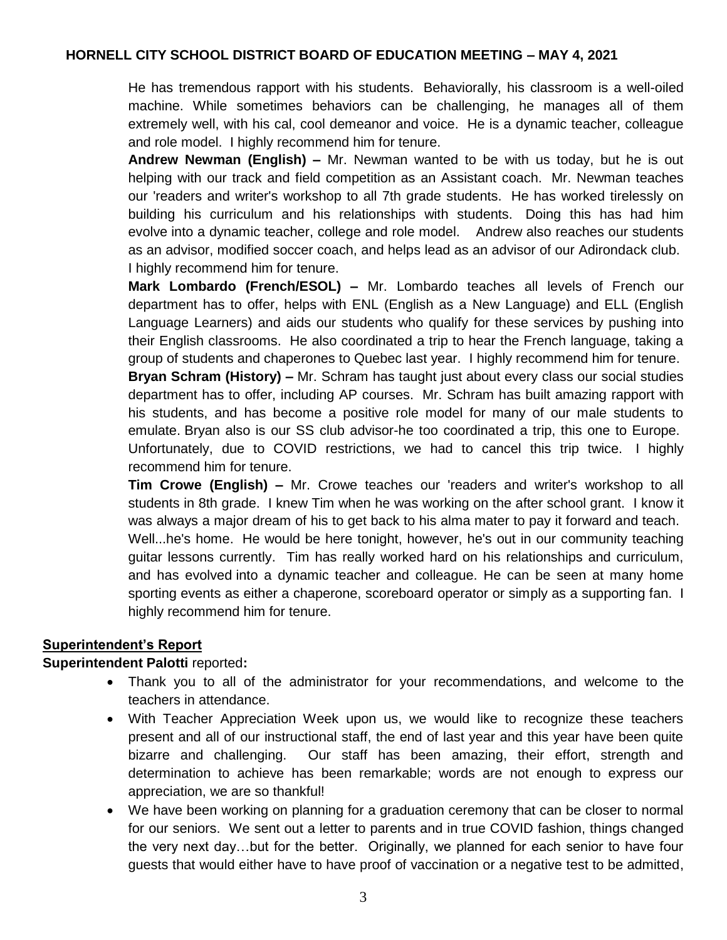He has tremendous rapport with his students. Behaviorally, his classroom is a well-oiled machine. While sometimes behaviors can be challenging, he manages all of them extremely well, with his cal, cool demeanor and voice. He is a dynamic teacher, colleague and role model. I highly recommend him for tenure.

**Andrew Newman (English) –** Mr. Newman wanted to be with us today, but he is out helping with our track and field competition as an Assistant coach. Mr. Newman teaches our 'readers and writer's workshop to all 7th grade students. He has worked tirelessly on building his curriculum and his relationships with students. Doing this has had him evolve into a dynamic teacher, college and role model. Andrew also reaches our students as an advisor, modified soccer coach, and helps lead as an advisor of our Adirondack club. I highly recommend him for tenure.

**Mark Lombardo (French/ESOL) –** Mr. Lombardo teaches all levels of French our department has to offer, helps with ENL (English as a New Language) and ELL (English Language Learners) and aids our students who qualify for these services by pushing into their English classrooms. He also coordinated a trip to hear the French language, taking a group of students and chaperones to Quebec last year. I highly recommend him for tenure. **Bryan Schram (History) –** Mr. Schram has taught just about every class our social studies department has to offer, including AP courses. Mr. Schram has built amazing rapport with his students, and has become a positive role model for many of our male students to

emulate. Bryan also is our SS club advisor-he too coordinated a trip, this one to Europe. Unfortunately, due to COVID restrictions, we had to cancel this trip twice. I highly recommend him for tenure.

**Tim Crowe (English) –** Mr. Crowe teaches our 'readers and writer's workshop to all students in 8th grade. I knew Tim when he was working on the after school grant. I know it was always a major dream of his to get back to his alma mater to pay it forward and teach. Well...he's home. He would be here tonight, however, he's out in our community teaching guitar lessons currently. Tim has really worked hard on his relationships and curriculum, and has evolved into a dynamic teacher and colleague. He can be seen at many home sporting events as either a chaperone, scoreboard operator or simply as a supporting fan. I highly recommend him for tenure.

# **Superintendent's Report**

### **Superintendent Palotti** reported**:**

- Thank you to all of the administrator for your recommendations, and welcome to the teachers in attendance.
- With Teacher Appreciation Week upon us, we would like to recognize these teachers present and all of our instructional staff, the end of last year and this year have been quite bizarre and challenging. Our staff has been amazing, their effort, strength and determination to achieve has been remarkable; words are not enough to express our appreciation, we are so thankful!
- We have been working on planning for a graduation ceremony that can be closer to normal for our seniors. We sent out a letter to parents and in true COVID fashion, things changed the very next day…but for the better. Originally, we planned for each senior to have four guests that would either have to have proof of vaccination or a negative test to be admitted,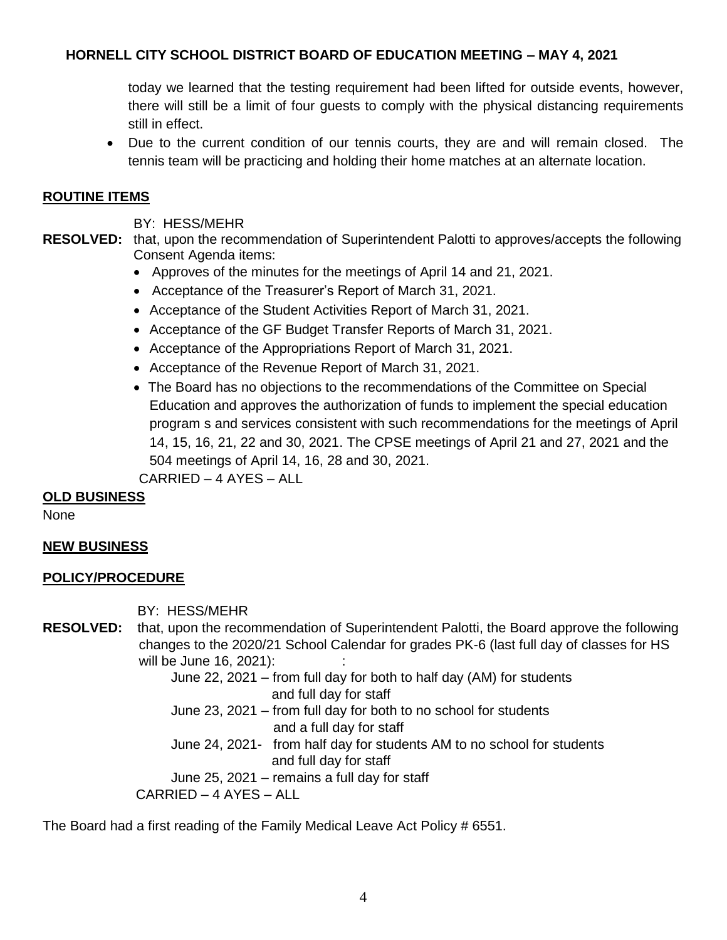today we learned that the testing requirement had been lifted for outside events, however, there will still be a limit of four guests to comply with the physical distancing requirements still in effect.

 Due to the current condition of our tennis courts, they are and will remain closed. The tennis team will be practicing and holding their home matches at an alternate location.

### **ROUTINE ITEMS**

BY: HESS/MEHR

**RESOLVED:** that, upon the recommendation of Superintendent Palotti to approves/accepts the following Consent Agenda items:

- Approves of the minutes for the meetings of April 14 and 21, 2021.
- Acceptance of the Treasurer's Report of March 31, 2021.
- Acceptance of the Student Activities Report of March 31, 2021.
- Acceptance of the GF Budget Transfer Reports of March 31, 2021.
- Acceptance of the Appropriations Report of March 31, 2021.
- Acceptance of the Revenue Report of March 31, 2021.
- The Board has no objections to the recommendations of the Committee on Special Education and approves the authorization of funds to implement the special education program s and services consistent with such recommendations for the meetings of April 14, 15, 16, 21, 22 and 30, 2021. The CPSE meetings of April 21 and 27, 2021 and the 504 meetings of April 14, 16, 28 and 30, 2021.

CARRIED – 4 AYES – ALL

# **OLD BUSINESS**

None

# **NEW BUSINESS**

### **POLICY/PROCEDURE**

BY: HESS/MEHR

**RESOLVED:** that, upon the recommendation of Superintendent Palotti, the Board approve the following changes to the 2020/21 School Calendar for grades PK-6 (last full day of classes for HS will be June 16, 2021):

> June 22, 2021 – from full day for both to half day (AM) for students and full day for staff

June 23, 2021 – from full day for both to no school for students and a full day for staff

June 24, 2021- from half day for students AM to no school for students and full day for staff

June 25, 2021 – remains a full day for staff

CARRIED – 4 AYES – ALL

The Board had a first reading of the Family Medical Leave Act Policy # 6551.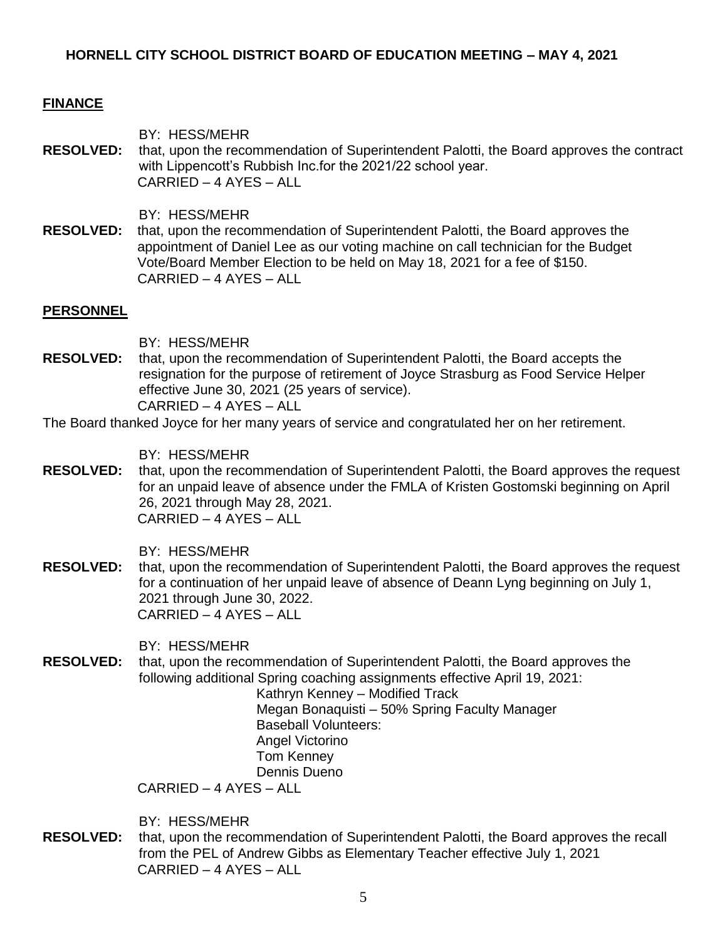### **FINANCE**

BY: HESS/MEHR **RESOLVED:** that, upon the recommendation of Superintendent Palotti, the Board approves the contract with Lippencott's Rubbish Inc.for the 2021/22 school year. CARRIED – 4 AYES – ALL

BY: HESS/MEHR

**RESOLVED:** that, upon the recommendation of Superintendent Palotti, the Board approves the appointment of Daniel Lee as our voting machine on call technician for the Budget Vote/Board Member Election to be held on May 18, 2021 for a fee of \$150. CARRIED – 4 AYES – ALL

#### **PERSONNEL**

BY: HESS/MEHR

**RESOLVED:** that, upon the recommendation of Superintendent Palotti, the Board accepts the resignation for the purpose of retirement of Joyce Strasburg as Food Service Helper effective June 30, 2021 (25 years of service). CARRIED – 4 AYES – ALL

#### The Board thanked Joyce for her many years of service and congratulated her on her retirement.

BY: HESS/MEHR

**RESOLVED:** that, upon the recommendation of Superintendent Palotti, the Board approves the request for an unpaid leave of absence under the FMLA of Kristen Gostomski beginning on April 26, 2021 through May 28, 2021. CARRIED – 4 AYES – ALL

BY: HESS/MEHR

**RESOLVED:** that, upon the recommendation of Superintendent Palotti, the Board approves the request for a continuation of her unpaid leave of absence of Deann Lyng beginning on July 1, 2021 through June 30, 2022. CARRIED – 4 AYES – ALL

BY: HESS/MEHR

**RESOLVED:** that, upon the recommendation of Superintendent Palotti, the Board approves the following additional Spring coaching assignments effective April 19, 2021:

Kathryn Kenney – Modified Track Megan Bonaquisti – 50% Spring Faculty Manager Baseball Volunteers: Angel Victorino Tom Kenney Dennis Dueno

CARRIED – 4 AYES – ALL

BY: HESS/MEHR

**RESOLVED:** that, upon the recommendation of Superintendent Palotti, the Board approves the recall from the PEL of Andrew Gibbs as Elementary Teacher effective July 1, 2021 CARRIED – 4 AYES – ALL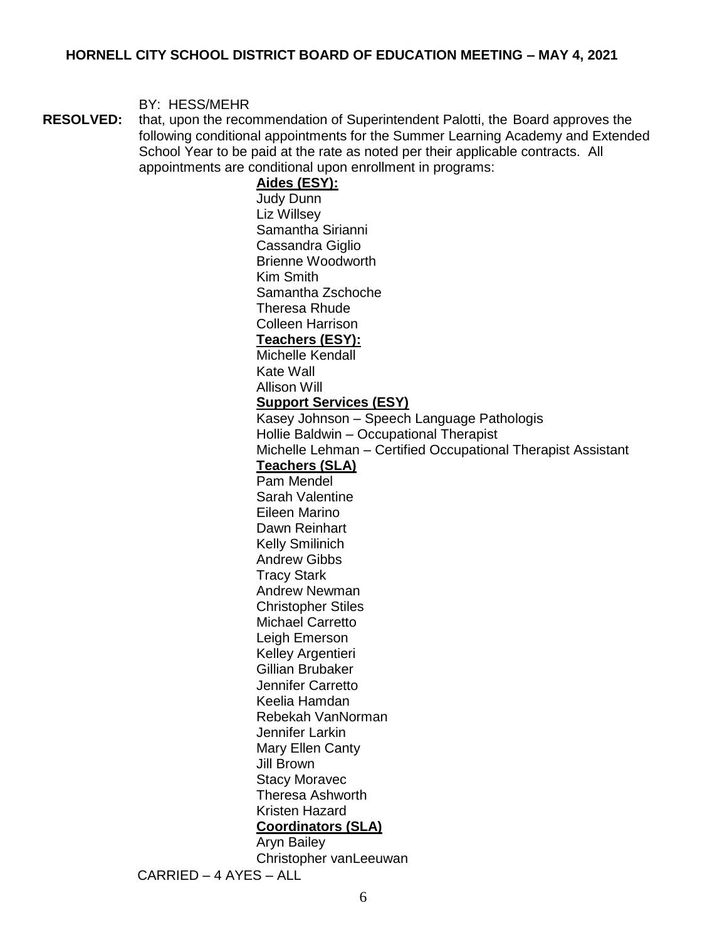#### BY: HESS/MEHR

**RESOLVED:** that, upon the recommendation of Superintendent Palotti, the Board approves the following conditional appointments for the Summer Learning Academy and Extended School Year to be paid at the rate as noted per their applicable contracts. All appointments are conditional upon enrollment in programs:

**Aides (ESY):** Judy Dunn Liz Willsey Samantha Sirianni Cassandra Giglio Brienne Woodworth Kim Smith Samantha Zschoche Theresa Rhude Colleen Harrison **Teachers (ESY):** Michelle Kendall Kate Wall Allison Will **Support Services (ESY)** Kasey Johnson – Speech Language Pathologis Hollie Baldwin – Occupational Therapist Michelle Lehman – Certified Occupational Therapist Assistant **Teachers (SLA)** Pam Mendel Sarah Valentine Eileen Marino Dawn Reinhart Kelly Smilinich Andrew Gibbs Tracy Stark Andrew Newman Christopher Stiles Michael Carretto Leigh Emerson Kelley Argentieri Gillian Brubaker Jennifer Carretto Keelia Hamdan Rebekah VanNorman Jennifer Larkin Mary Ellen Canty Jill Brown Stacy Moravec Theresa Ashworth Kristen Hazard **Coordinators (SLA)** Aryn Bailey Christopher vanLeeuwan CARRIED – 4 AYES – ALL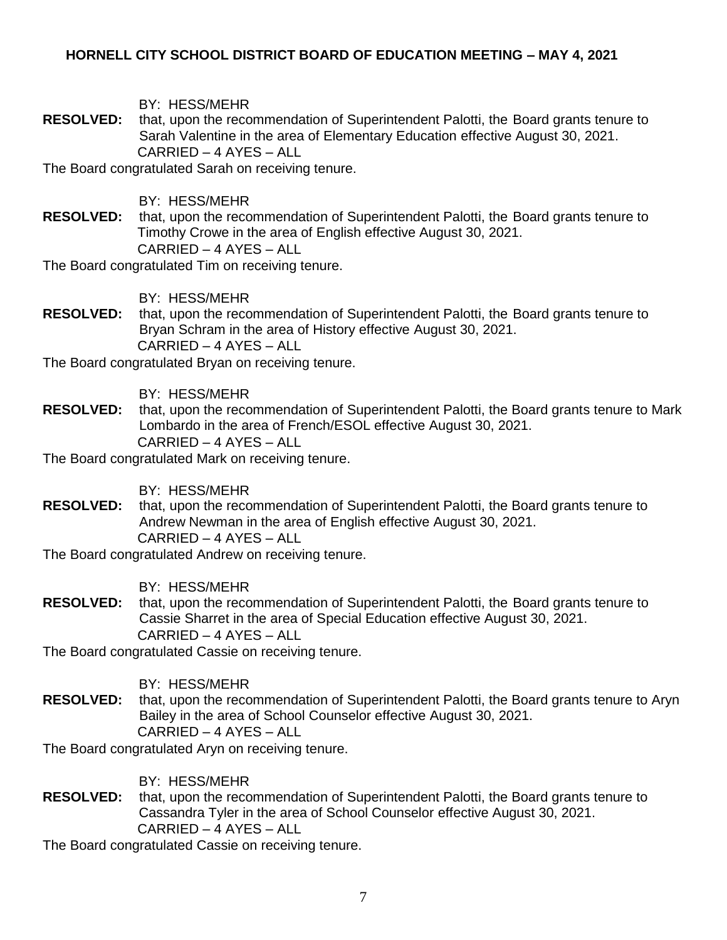BY: HESS/MEHR

**RESOLVED:** that, upon the recommendation of Superintendent Palotti, the Board grants tenure to Sarah Valentine in the area of Elementary Education effective August 30, 2021. CARRIED – 4 AYES – ALL

The Board congratulated Sarah on receiving tenure.

BY: HESS/MEHR

**RESOLVED:** that, upon the recommendation of Superintendent Palotti, the Board grants tenure to Timothy Crowe in the area of English effective August 30, 2021. CARRIED – 4 AYES – ALL

The Board congratulated Tim on receiving tenure.

BY: HESS/MEHR

**RESOLVED:** that, upon the recommendation of Superintendent Palotti, the Board grants tenure to Bryan Schram in the area of History effective August 30, 2021. CARRIED – 4 AYES – ALL

The Board congratulated Bryan on receiving tenure.

BY: HESS/MEHR

**RESOLVED:** that, upon the recommendation of Superintendent Palotti, the Board grants tenure to Mark Lombardo in the area of French/ESOL effective August 30, 2021. CARRIED – 4 AYES – ALL

The Board congratulated Mark on receiving tenure.

BY: HESS/MEHR

**RESOLVED:** that, upon the recommendation of Superintendent Palotti, the Board grants tenure to Andrew Newman in the area of English effective August 30, 2021. CARRIED – 4 AYES – ALL

The Board congratulated Andrew on receiving tenure.

BY: HESS/MEHR

**RESOLVED:** that, upon the recommendation of Superintendent Palotti, the Board grants tenure to Cassie Sharret in the area of Special Education effective August 30, 2021. CARRIED – 4 AYES – ALL

The Board congratulated Cassie on receiving tenure.

BY: HESS/MEHR

**RESOLVED:** that, upon the recommendation of Superintendent Palotti, the Board grants tenure to Aryn Bailey in the area of School Counselor effective August 30, 2021. CARRIED – 4 AYES – ALL

The Board congratulated Aryn on receiving tenure.

BY: HESS/MEHR

**RESOLVED:** that, upon the recommendation of Superintendent Palotti, the Board grants tenure to Cassandra Tyler in the area of School Counselor effective August 30, 2021. CARRIED – 4 AYES – ALL

The Board congratulated Cassie on receiving tenure.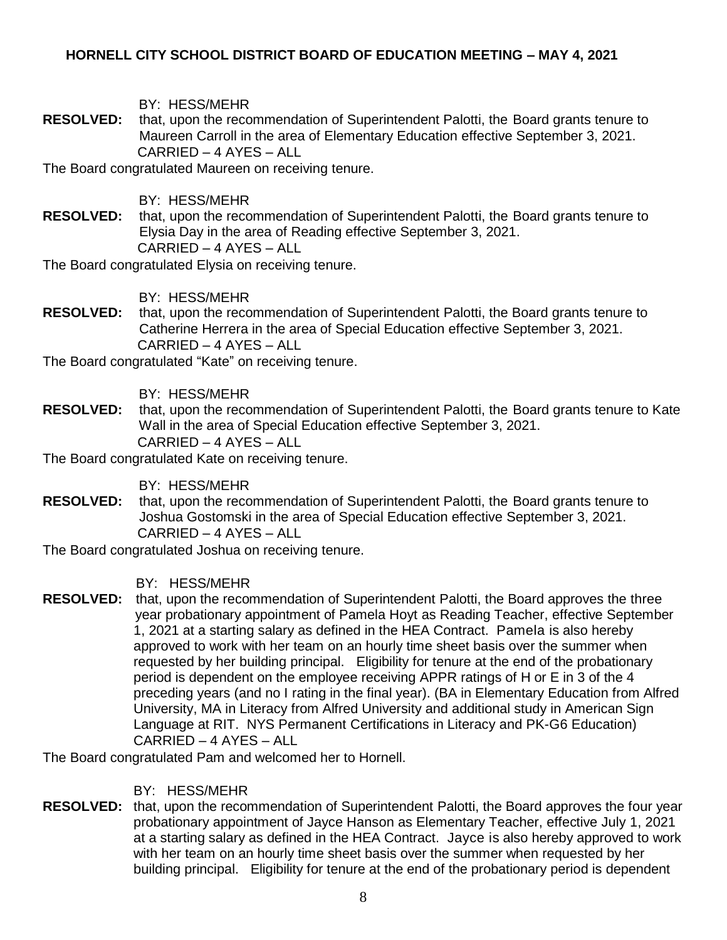BY: HESS/MEHR

**RESOLVED:** that, upon the recommendation of Superintendent Palotti, the Board grants tenure to Maureen Carroll in the area of Elementary Education effective September 3, 2021. CARRIED – 4 AYES – ALL

The Board congratulated Maureen on receiving tenure.

BY: HESS/MEHR

**RESOLVED:** that, upon the recommendation of Superintendent Palotti, the Board grants tenure to Elysia Day in the area of Reading effective September 3, 2021. CARRIED – 4 AYES – ALL

The Board congratulated Elysia on receiving tenure.

BY: HESS/MEHR

**RESOLVED:** that, upon the recommendation of Superintendent Palotti, the Board grants tenure to Catherine Herrera in the area of Special Education effective September 3, 2021. CARRIED – 4 AYES – ALL

The Board congratulated "Kate" on receiving tenure.

BY: HESS/MEHR

**RESOLVED:** that, upon the recommendation of Superintendent Palotti, the Board grants tenure to Kate Wall in the area of Special Education effective September 3, 2021. CARRIED – 4 AYES – ALL

The Board congratulated Kate on receiving tenure.

BY: HESS/MEHR

**RESOLVED:** that, upon the recommendation of Superintendent Palotti, the Board grants tenure to Joshua Gostomski in the area of Special Education effective September 3, 2021. CARRIED – 4 AYES – ALL

The Board congratulated Joshua on receiving tenure.

BY: HESS/MEHR

**RESOLVED:** that, upon the recommendation of Superintendent Palotti, the Board approves the three year probationary appointment of Pamela Hoyt as Reading Teacher, effective September 1, 2021 at a starting salary as defined in the HEA Contract. Pamela is also hereby approved to work with her team on an hourly time sheet basis over the summer when requested by her building principal. Eligibility for tenure at the end of the probationary period is dependent on the employee receiving APPR ratings of H or E in 3 of the 4 preceding years (and no I rating in the final year). (BA in Elementary Education from Alfred University, MA in Literacy from Alfred University and additional study in American Sign Language at RIT. NYS Permanent Certifications in Literacy and PK-G6 Education) CARRIED – 4 AYES – ALL

The Board congratulated Pam and welcomed her to Hornell.

BY: HESS/MEHR

**RESOLVED:** that, upon the recommendation of Superintendent Palotti, the Board approves the four year probationary appointment of Jayce Hanson as Elementary Teacher, effective July 1, 2021 at a starting salary as defined in the HEA Contract. Jayce is also hereby approved to work with her team on an hourly time sheet basis over the summer when requested by her building principal. Eligibility for tenure at the end of the probationary period is dependent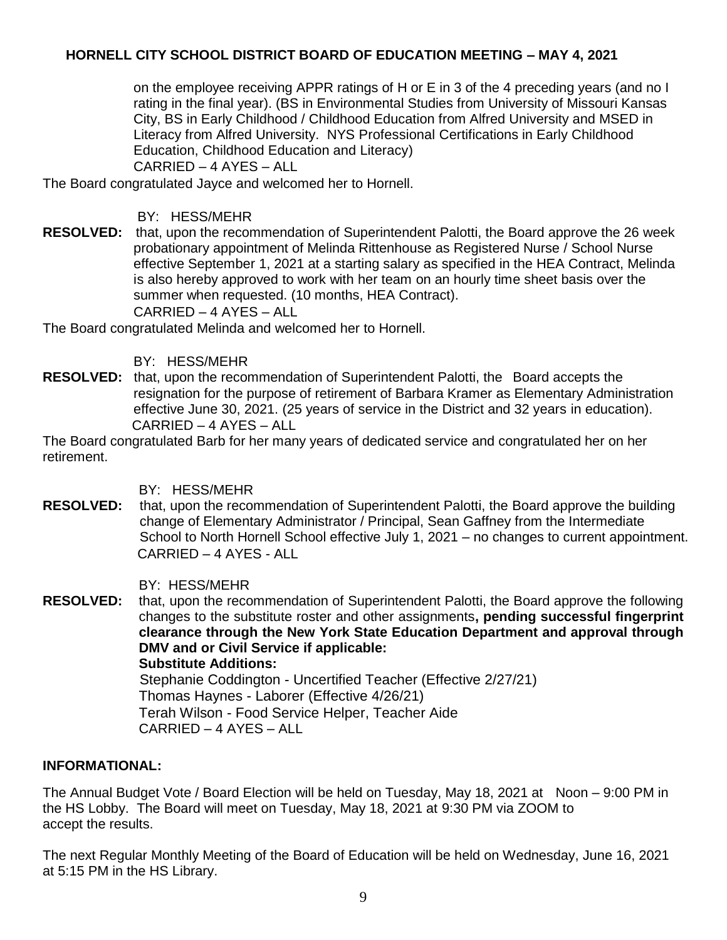on the employee receiving APPR ratings of H or E in 3 of the 4 preceding years (and no I rating in the final year). (BS in Environmental Studies from University of Missouri Kansas City, BS in Early Childhood / Childhood Education from Alfred University and MSED in Literacy from Alfred University. NYS Professional Certifications in Early Childhood Education, Childhood Education and Literacy)

CARRIED – 4 AYES – ALL

The Board congratulated Jayce and welcomed her to Hornell.

## BY: HESS/MEHR

**RESOLVED:** that, upon the recommendation of Superintendent Palotti, the Board approve the 26 week probationary appointment of Melinda Rittenhouse as Registered Nurse / School Nurse effective September 1, 2021 at a starting salary as specified in the HEA Contract, Melinda is also hereby approved to work with her team on an hourly time sheet basis over the summer when requested. (10 months, HEA Contract). CARRIED – 4 AYES – ALL

The Board congratulated Melinda and welcomed her to Hornell.

# BY: HESS/MEHR

**RESOLVED:** that, upon the recommendation of Superintendent Palotti, the Board accepts the resignation for the purpose of retirement of Barbara Kramer as Elementary Administration effective June 30, 2021. (25 years of service in the District and 32 years in education). CARRIED – 4 AYES – ALL

The Board congratulated Barb for her many years of dedicated service and congratulated her on her retirement.

# BY: HESS/MEHR

**RESOLVED:** that, upon the recommendation of Superintendent Palotti, the Board approve the building change of Elementary Administrator / Principal, Sean Gaffney from the Intermediate School to North Hornell School effective July 1, 2021 – no changes to current appointment. CARRIED – 4 AYES - ALL

BY: HESS/MEHR

**RESOLVED:** that, upon the recommendation of Superintendent Palotti, the Board approve the following changes to the substitute roster and other assignments**, pending successful fingerprint clearance through the New York State Education Department and approval through DMV and or Civil Service if applicable: Substitute Additions:** Stephanie Coddington - Uncertified Teacher (Effective 2/27/21) Thomas Haynes - Laborer (Effective 4/26/21) Terah Wilson - Food Service Helper, Teacher Aide CARRIED – 4 AYES – ALL

### **INFORMATIONAL:**

The Annual Budget Vote / Board Election will be held on Tuesday, May 18, 2021 at Noon – 9:00 PM in the HS Lobby. The Board will meet on Tuesday, May 18, 2021 at 9:30 PM via ZOOM to accept the results.

The next Regular Monthly Meeting of the Board of Education will be held on Wednesday, June 16, 2021 at 5:15 PM in the HS Library.